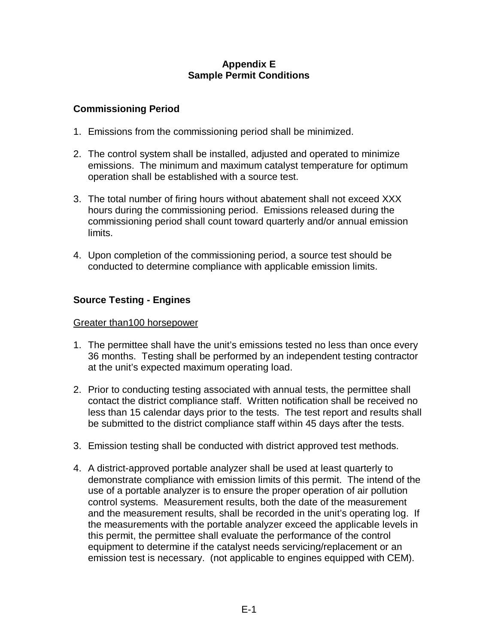### **Appendix E Sample Permit Conditions**

## **Commissioning Period**

- 1. Emissions from the commissioning period shall be minimized.
- 2. The control system shall be installed, adjusted and operated to minimize emissions. The minimum and maximum catalyst temperature for optimum operation shall be established with a source test.
- 3. The total number of firing hours without abatement shall not exceed XXX hours during the commissioning period. Emissions released during the commissioning period shall count toward quarterly and/or annual emission limits.
- 4. Upon completion of the commissioning period, a source test should be conducted to determine compliance with applicable emission limits.

# **Source Testing - Engines**

### Greater than100 horsepower

- 1. The permittee shall have the unit's emissions tested no less than once every 36 months. Testing shall be performed by an independent testing contractor at the unit's expected maximum operating load.
- 2. Prior to conducting testing associated with annual tests, the permittee shall contact the district compliance staff. Written notification shall be received no less than 15 calendar days prior to the tests. The test report and results shall be submitted to the district compliance staff within 45 days after the tests.
- 3. Emission testing shall be conducted with district approved test methods.
- 4. A district-approved portable analyzer shall be used at least quarterly to demonstrate compliance with emission limits of this permit. The intend of the use of a portable analyzer is to ensure the proper operation of air pollution control systems. Measurement results, both the date of the measurement and the measurement results, shall be recorded in the unit's operating log. If the measurements with the portable analyzer exceed the applicable levels in this permit, the permittee shall evaluate the performance of the control equipment to determine if the catalyst needs servicing/replacement or an emission test is necessary. (not applicable to engines equipped with CEM).